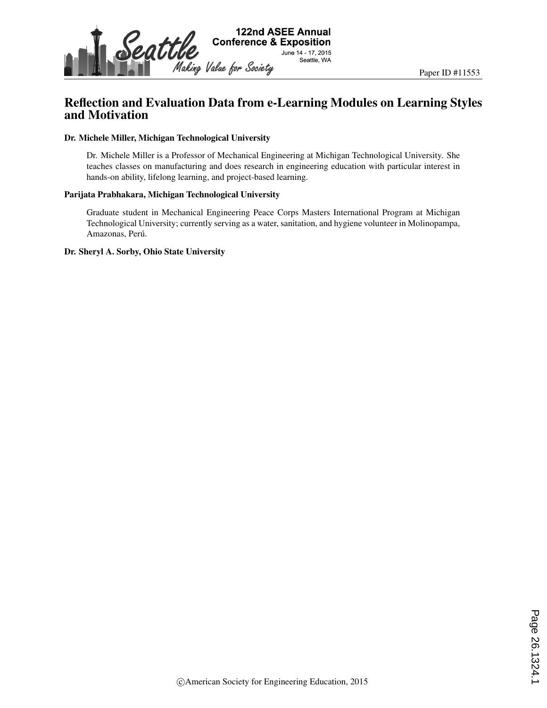

# Reflection and Evaluation Data from e-Learning Modules on Learning Styles and Motivation

#### Dr. Michele Miller, Michigan Technological University

Dr. Michele Miller is a Professor of Mechanical Engineering at Michigan Technological University. She teaches classes on manufacturing and does research in engineering education with particular interest in hands-on ability, lifelong learning, and project-based learning.

#### Parijata Prabhakara, Michigan Technological University

Graduate student in Mechanical Engineering Peace Corps Masters International Program at Michigan Technological University; currently serving as a water, sanitation, and hygiene volunteer in Molinopampa, Amazonas, Perú.

#### Dr. Sheryl A. Sorby, Ohio State University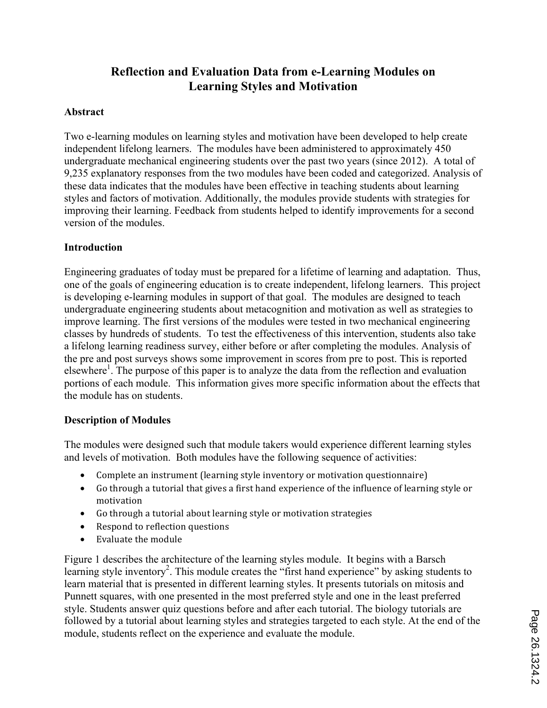# **Reflection and Evaluation Data from e-Learning Modules on Learning Styles and Motivation**

## **Abstract**

Two e-learning modules on learning styles and motivation have been developed to help create independent lifelong learners. The modules have been administered to approximately 450 undergraduate mechanical engineering students over the past two years (since 2012). A total of 9,235 explanatory responses from the two modules have been coded and categorized. Analysis of these data indicates that the modules have been effective in teaching students about learning styles and factors of motivation. Additionally, the modules provide students with strategies for improving their learning. Feedback from students helped to identify improvements for a second version of the modules.

## **Introduction**

Engineering graduates of today must be prepared for a lifetime of learning and adaptation. Thus, one of the goals of engineering education is to create independent, lifelong learners. This project is developing e-learning modules in support of that goal. The modules are designed to teach undergraduate engineering students about metacognition and motivation as well as strategies to improve learning. The first versions of the modules were tested in two mechanical engineering classes by hundreds of students. To test the effectiveness of this intervention, students also take a lifelong learning readiness survey, either before or after completing the modules. Analysis of the pre and post surveys shows some improvement in scores from pre to post. This is reported elsewhere<sup>1</sup>. The purpose of this paper is to analyze the data from the reflection and evaluation portions of each module. This information gives more specific information about the effects that the module has on students.

#### **Description of Modules**

The modules were designed such that module takers would experience different learning styles and levels of motivation. Both modules have the following sequence of activities:

- Complete an instrument (learning style inventory or motivation questionnaire)
- Go through a tutorial that gives a first hand experience of the influence of learning style or motivation
- Go through a tutorial about learning style or motivation strategies
- Respond to reflection questions
- $\bullet$  Evaluate the module

Figure 1 describes the architecture of the learning styles module. It begins with a Barsch learning style inventory<sup>2</sup>. This module creates the "first hand experience" by asking students to learn material that is presented in different learning styles. It presents tutorials on mitosis and Punnett squares, with one presented in the most preferred style and one in the least preferred style. Students answer quiz questions before and after each tutorial. The biology tutorials are followed by a tutorial about learning styles and strategies targeted to each style. At the end of the module, students reflect on the experience and evaluate the module.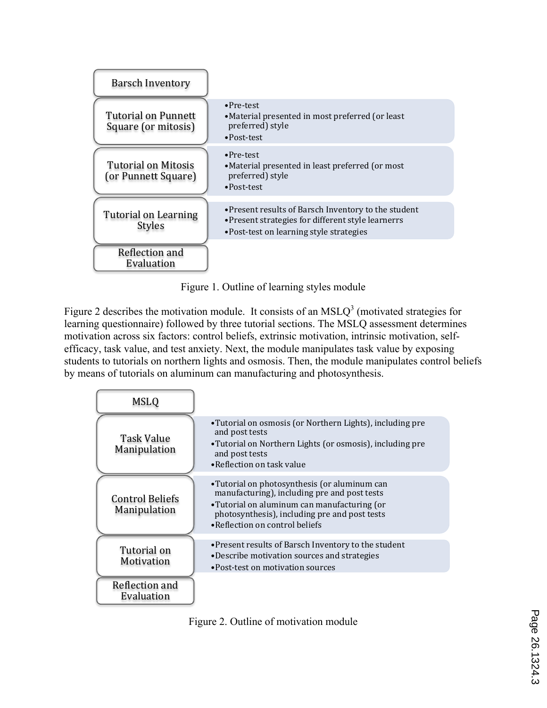

Figure 1. Outline of learning styles module

Figure 2 describes the motivation module. It consists of an  $MSLO<sup>3</sup>$  (motivated strategies for learning questionnaire) followed by three tutorial sections. The MSLQ assessment determines motivation across six factors: control beliefs, extrinsic motivation, intrinsic motivation, selfefficacy, task value, and test anxiety. Next, the module manipulates task value by exposing students to tutorials on northern lights and osmosis. Then, the module manipulates control beliefs by means of tutorials on aluminum can manufacturing and photosynthesis.

| <b>MSLQ</b>                                   |                                                                                                                                                                                                                                |
|-----------------------------------------------|--------------------------------------------------------------------------------------------------------------------------------------------------------------------------------------------------------------------------------|
| Task Value<br><b>Manipulation</b>             | •Tutorial on osmosis (or Northern Lights), including pre<br>and post tests<br>•Tutorial on Northern Lights (or osmosis), including pre<br>and post tests<br>•Reflection on task value                                          |
| <b>Control Beliefs</b><br><b>Manipulation</b> | •Tutorial on photosynthesis (or aluminum can<br>manufacturing), including pre and post tests<br>•Tutorial on aluminum can manufacturing (or<br>photosynthesis), including pre and post tests<br>•Reflection on control beliefs |
| Tutorial on<br>Motivation                     | • Present results of Barsch Inventory to the student<br>•Describe motivation sources and strategies<br>•Post-test on motivation sources                                                                                        |
| Reflection and<br>Evaluation                  |                                                                                                                                                                                                                                |

Figure 2. Outline of motivation module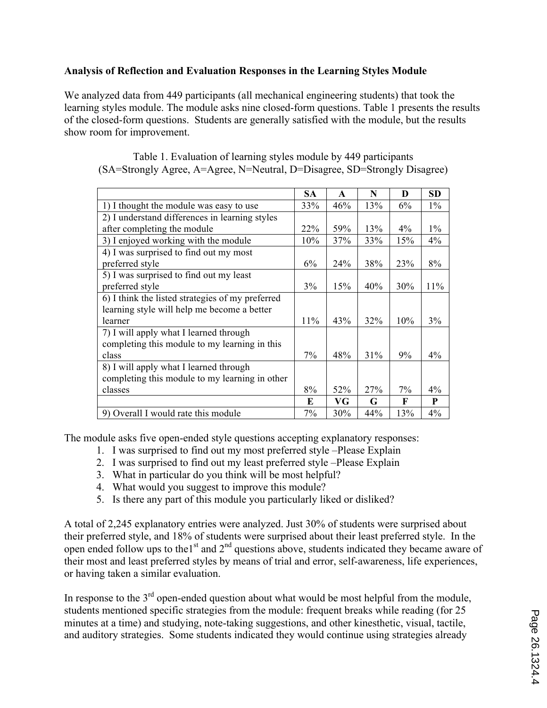# **Analysis of Reflection and Evaluation Responses in the Learning Styles Module**

We analyzed data from 449 participants (all mechanical engineering students) that took the learning styles module. The module asks nine closed-form questions. Table 1 presents the results of the closed-form questions. Students are generally satisfied with the module, but the results show room for improvement.

|                                                  | SA    | $\mathbf{A}$ | N   | D     | SD    |
|--------------------------------------------------|-------|--------------|-----|-------|-------|
| 1) I thought the module was easy to use          | 33%   | 46%          | 13% | 6%    | $1\%$ |
| 2) I understand differences in learning styles   |       |              |     |       |       |
| after completing the module                      | 22%   | 59%          | 13% | $4\%$ | $1\%$ |
| 3) I enjoyed working with the module             | 10%   | 37%          | 33% | 15%   | 4%    |
| 4) I was surprised to find out my most           |       |              |     |       |       |
| preferred style                                  | 6%    | 24%          | 38% | 23%   | 8%    |
| 5) I was surprised to find out my least          |       |              |     |       |       |
| preferred style                                  | 3%    | 15%          | 40% | 30%   | 11%   |
| 6) I think the listed strategies of my preferred |       |              |     |       |       |
| learning style will help me become a better      |       |              |     |       |       |
| learner                                          | 11%   | 43%          | 32% | 10%   | 3%    |
| 7) I will apply what I learned through           |       |              |     |       |       |
| completing this module to my learning in this    |       |              |     |       |       |
| class                                            | $7\%$ | 48%          | 31% | 9%    | $4\%$ |
| 8) I will apply what I learned through           |       |              |     |       |       |
| completing this module to my learning in other   |       |              |     |       |       |
| classes                                          | 8%    | 52%          | 27% | 7%    | $4\%$ |
|                                                  | E     | VG           | G   | F     | P     |
| 9) Overall I would rate this module              | 7%    | 30%          | 44% | 13%   | 4%    |

Table 1. Evaluation of learning styles module by 449 participants (SA=Strongly Agree, A=Agree, N=Neutral, D=Disagree, SD=Strongly Disagree)

The module asks five open-ended style questions accepting explanatory responses:

- 1. I was surprised to find out my most preferred style –Please Explain
- 2. I was surprised to find out my least preferred style –Please Explain
- 3. What in particular do you think will be most helpful?
- 4. What would you suggest to improve this module?
- 5. Is there any part of this module you particularly liked or disliked?

A total of 2,245 explanatory entries were analyzed. Just 30% of students were surprised about their preferred style, and 18% of students were surprised about their least preferred style. In the open ended follow ups to the1st and  $2<sup>nd</sup>$  questions above, students indicated they became aware of their most and least preferred styles by means of trial and error, self-awareness, life experiences, or having taken a similar evaluation.

In response to the  $3<sup>rd</sup>$  open-ended question about what would be most helpful from the module, students mentioned specific strategies from the module: frequent breaks while reading (for 25 minutes at a time) and studying, note-taking suggestions, and other kinesthetic, visual, tactile, and auditory strategies. Some students indicated they would continue using strategies already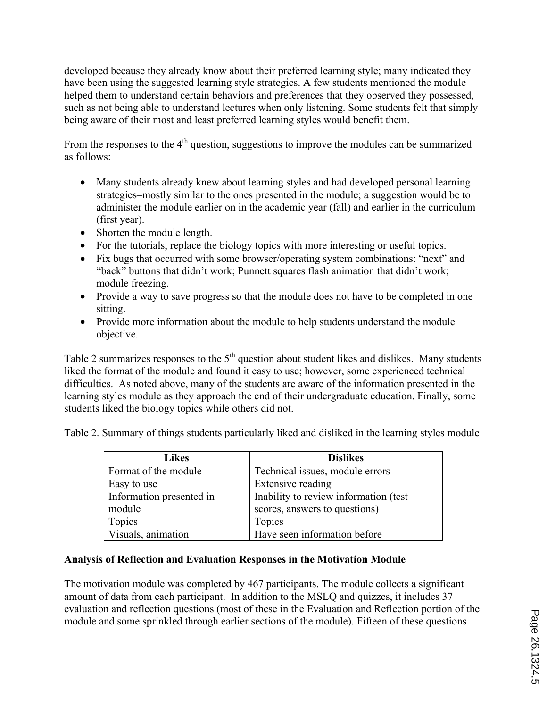developed because they already know about their preferred learning style; many indicated they have been using the suggested learning style strategies. A few students mentioned the module helped them to understand certain behaviors and preferences that they observed they possessed, such as not being able to understand lectures when only listening. Some students felt that simply being aware of their most and least preferred learning styles would benefit them.

From the responses to the  $4<sup>th</sup>$  question, suggestions to improve the modules can be summarized as follows:

- Many students already knew about learning styles and had developed personal learning strategies–mostly similar to the ones presented in the module; a suggestion would be to administer the module earlier on in the academic year (fall) and earlier in the curriculum (first year).
- Shorten the module length.
- For the tutorials, replace the biology topics with more interesting or useful topics.
- Fix bugs that occurred with some browser/operating system combinations: "next" and "back" buttons that didn't work; Punnett squares flash animation that didn't work; module freezing.
- Provide a way to save progress so that the module does not have to be completed in one sitting.
- Provide more information about the module to help students understand the module objective.

Table 2 summarizes responses to the  $5<sup>th</sup>$  question about student likes and dislikes. Many students liked the format of the module and found it easy to use; however, some experienced technical difficulties. As noted above, many of the students are aware of the information presented in the learning styles module as they approach the end of their undergraduate education. Finally, some students liked the biology topics while others did not.

Table 2. Summary of things students particularly liked and disliked in the learning styles module

| <b>Likes</b>             | <b>Dislikes</b>                       |
|--------------------------|---------------------------------------|
| Format of the module     | Technical issues, module errors       |
| Easy to use              | Extensive reading                     |
| Information presented in | Inability to review information (test |
| module                   | scores, answers to questions)         |
| Topics                   | Topics                                |
| Visuals, animation       | Have seen information before          |

# **Analysis of Reflection and Evaluation Responses in the Motivation Module**

The motivation module was completed by 467 participants. The module collects a significant amount of data from each participant. In addition to the MSLQ and quizzes, it includes 37 evaluation and reflection questions (most of these in the Evaluation and Reflection portion of the module and some sprinkled through earlier sections of the module). Fifteen of these questions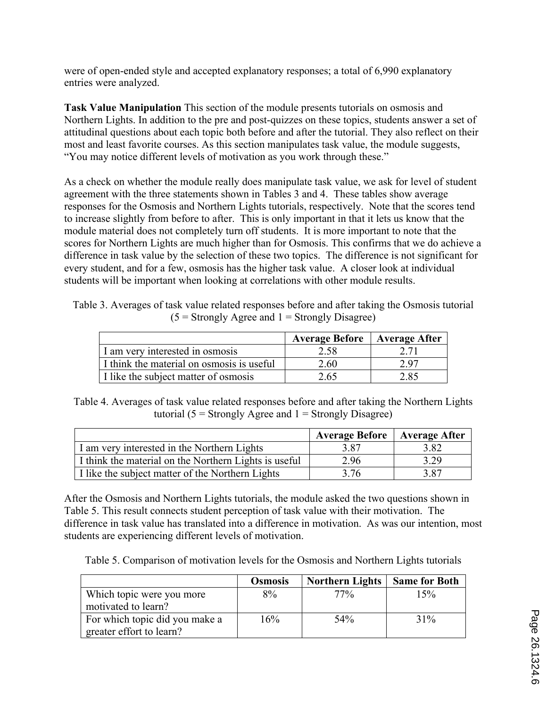were of open-ended style and accepted explanatory responses; a total of 6,990 explanatory entries were analyzed.

**Task Value Manipulation** This section of the module presents tutorials on osmosis and Northern Lights. In addition to the pre and post-quizzes on these topics, students answer a set of attitudinal questions about each topic both before and after the tutorial. They also reflect on their most and least favorite courses. As this section manipulates task value, the module suggests, "You may notice different levels of motivation as you work through these."

As a check on whether the module really does manipulate task value, we ask for level of student agreement with the three statements shown in Tables 3 and 4. These tables show average responses for the Osmosis and Northern Lights tutorials, respectively. Note that the scores tend to increase slightly from before to after. This is only important in that it lets us know that the module material does not completely turn off students. It is more important to note that the scores for Northern Lights are much higher than for Osmosis. This confirms that we do achieve a difference in task value by the selection of these two topics. The difference is not significant for every student, and for a few, osmosis has the higher task value. A closer look at individual students will be important when looking at correlations with other module results.

Table 3. Averages of task value related responses before and after taking the Osmosis tutorial  $(5 =$  Strongly Agree and  $1 =$  Strongly Disagree)

|                                           | <b>Average Before</b>   Average After |      |
|-------------------------------------------|---------------------------------------|------|
| I am very interested in osmosis           | 2.58                                  |      |
| I think the material on osmosis is useful | 2.60                                  | 2.97 |
| I like the subject matter of osmosis      | 2.65                                  | 2.85 |

Table 4. Averages of task value related responses before and after taking the Northern Lights tutorial ( $5 =$  Strongly Agree and  $1 =$  Strongly Disagree)

|                                                       | <b>Average Before</b>   Average After |      |
|-------------------------------------------------------|---------------------------------------|------|
| I am very interested in the Northern Lights           | 3.87                                  | 3.82 |
| I think the material on the Northern Lights is useful | 2.96                                  | 3.29 |
| I like the subject matter of the Northern Lights      | 3 76                                  | 3.87 |

After the Osmosis and Northern Lights tutorials, the module asked the two questions shown in Table 5. This result connects student perception of task value with their motivation. The difference in task value has translated into a difference in motivation. As was our intention, most students are experiencing different levels of motivation.

Table 5. Comparison of motivation levels for the Osmosis and Northern Lights tutorials

|                                                            | <b>Osmosis</b> | <b>Northern Lights</b> | <b>Same for Both</b> |
|------------------------------------------------------------|----------------|------------------------|----------------------|
| Which topic were you more                                  | 8%             | 77%                    | 15%                  |
| motivated to learn?                                        |                |                        |                      |
| For which topic did you make a<br>greater effort to learn? | 16%            | 54 <sup>o</sup> %      | 31%                  |
|                                                            |                |                        |                      |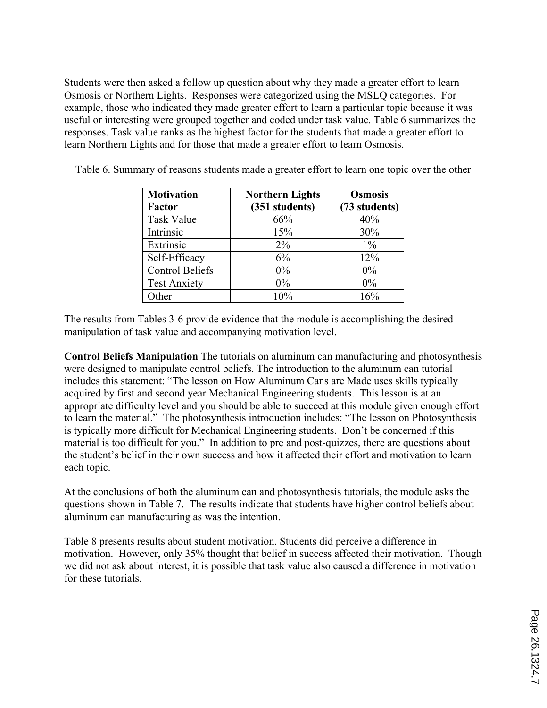Students were then asked a follow up question about why they made a greater effort to learn Osmosis or Northern Lights. Responses were categorized using the MSLQ categories. For example, those who indicated they made greater effort to learn a particular topic because it was useful or interesting were grouped together and coded under task value. Table 6 summarizes the responses. Task value ranks as the highest factor for the students that made a greater effort to learn Northern Lights and for those that made a greater effort to learn Osmosis.

| <b>Motivation</b><br><b>Factor</b> | <b>Northern Lights</b><br>(351 students) | <b>Osmosis</b><br>(73 students) |
|------------------------------------|------------------------------------------|---------------------------------|
| <b>Task Value</b>                  | 66%                                      | 40%                             |
| Intrinsic                          | 15%                                      | 30%                             |
| Extrinsic                          | $2\%$                                    | $1\%$                           |
| Self-Efficacy                      | 6%                                       | 12%                             |
| <b>Control Beliefs</b>             | $0\%$                                    | 0%                              |
| <b>Test Anxiety</b>                | $0\%$                                    | 0%                              |
| )ther                              | 10%                                      | 16%                             |

Table 6. Summary of reasons students made a greater effort to learn one topic over the other

The results from Tables 3-6 provide evidence that the module is accomplishing the desired manipulation of task value and accompanying motivation level.

**Control Beliefs Manipulation** The tutorials on aluminum can manufacturing and photosynthesis were designed to manipulate control beliefs. The introduction to the aluminum can tutorial includes this statement: "The lesson on How Aluminum Cans are Made uses skills typically acquired by first and second year Mechanical Engineering students. This lesson is at an appropriate difficulty level and you should be able to succeed at this module given enough effort to learn the material." The photosynthesis introduction includes: "The lesson on Photosynthesis is typically more difficult for Mechanical Engineering students. Don't be concerned if this material is too difficult for you." In addition to pre and post-quizzes, there are questions about the student's belief in their own success and how it affected their effort and motivation to learn each topic.

At the conclusions of both the aluminum can and photosynthesis tutorials, the module asks the questions shown in Table 7. The results indicate that students have higher control beliefs about aluminum can manufacturing as was the intention.

Table 8 presents results about student motivation. Students did perceive a difference in motivation. However, only 35% thought that belief in success affected their motivation. Though we did not ask about interest, it is possible that task value also caused a difference in motivation for these tutorials.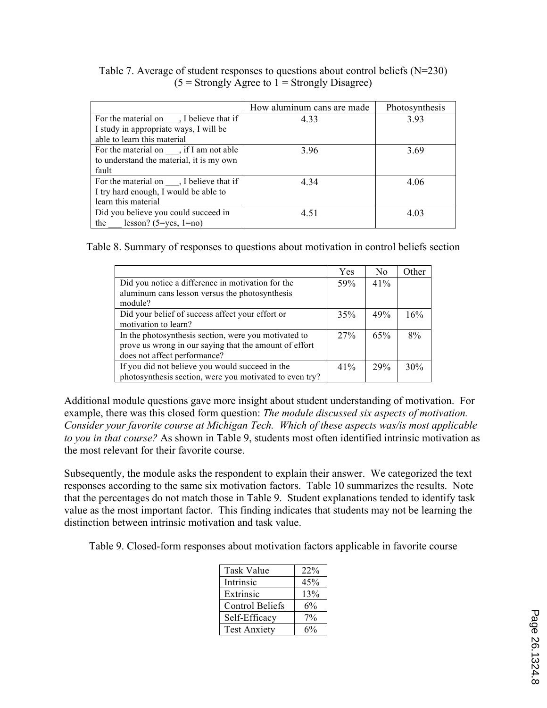|                                                  | How aluminum cans are made | Photosynthesis |
|--------------------------------------------------|----------------------------|----------------|
| For the material on $\_\_\_$ , I believe that if | 4.33                       | 3.93           |
| I study in appropriate ways, I will be           |                            |                |
| able to learn this material                      |                            |                |
| For the material on $\quad$ , if I am not able   | 3.96                       | 3.69           |
| to understand the material, it is my own         |                            |                |
| fault                                            |                            |                |
| For the material on $\_\_\_$ , I believe that if | 4.34                       | 4.06           |
| I try hard enough, I would be able to            |                            |                |
| learn this material                              |                            |                |
| Did you believe you could succeed in             | 4.51                       | 4.03           |
| the<br>lesson? $(5 = yes, 1 = no)$               |                            |                |

Table 7. Average of student responses to questions about control beliefs (N=230)  $(5 =$  Strongly Agree to  $1 =$  Strongly Disagree)

Table 8. Summary of responses to questions about motivation in control beliefs section

|                                                         | Yes | N <sub>0</sub> | Other |
|---------------------------------------------------------|-----|----------------|-------|
| Did you notice a difference in motivation for the       | 59% | 41%            |       |
| aluminum cans lesson versus the photosynthesis          |     |                |       |
| module?                                                 |     |                |       |
| Did your belief of success affect your effort or        | 35% | 49%            | 16%   |
| motivation to learn?                                    |     |                |       |
| In the photosynthesis section, were you motivated to    | 27% | 65%            | 8%    |
| prove us wrong in our saying that the amount of effort  |     |                |       |
| does not affect performance?                            |     |                |       |
| If you did not believe you would succeed in the         | 41% | 29%            | 30%   |
| photosynthesis section, were you motivated to even try? |     |                |       |

Additional module questions gave more insight about student understanding of motivation. For example, there was this closed form question: *The module discussed six aspects of motivation. Consider your favorite course at Michigan Tech. Which of these aspects was/is most applicable to you in that course?* As shown in Table 9, students most often identified intrinsic motivation as the most relevant for their favorite course.

Subsequently, the module asks the respondent to explain their answer. We categorized the text responses according to the same six motivation factors. Table 10 summarizes the results. Note that the percentages do not match those in Table 9. Student explanations tended to identify task value as the most important factor. This finding indicates that students may not be learning the distinction between intrinsic motivation and task value.

Table 9. Closed-form responses about motivation factors applicable in favorite course

| <b>Task Value</b>      | 22%   |
|------------------------|-------|
| Intrinsic              | 45%   |
| Extrinsic              | 13%   |
| <b>Control Beliefs</b> | $6\%$ |
| Self-Efficacy          | $7\%$ |
| <b>Test Anxiety</b>    | 6%    |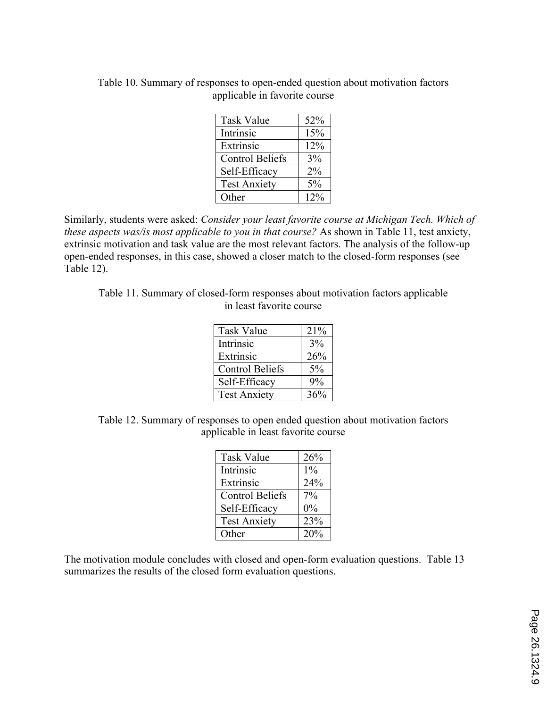| <b>Task Value</b>      | 52%    |
|------------------------|--------|
| Intrinsic              | 15%    |
| Extrinsic              | 12%    |
| <b>Control Beliefs</b> | $3\%$  |
| Self-Efficacy          | $2\%$  |
| <b>Test Anxiety</b>    | 5%     |
| Other                  | $12\%$ |

Table 10. Summary of responses to open-ended question about motivation factors applicable in favorite course

Similarly, students were asked: *Consider your least favorite course at Michigan Tech. Which of these aspects was/is most applicable to you in that course?* As shown in Table 11, test anxiety, extrinsic motivation and task value are the most relevant factors. The analysis of the follow-up open-ended responses, in this case, showed a closer match to the closed-form responses (see Table 12).

Table 11. Summary of closed-form responses about motivation factors applicable in least favorite course

| <b>Task Value</b>      | 21%   |
|------------------------|-------|
| Intrinsic              | 3%    |
| Extrinsic              | 26%   |
| <b>Control Beliefs</b> | 5%    |
| Self-Efficacy          | $9\%$ |
| <b>Test Anxiety</b>    | 36%   |

Table 12. Summary of responses to open ended question about motivation factors applicable in least favorite course

| <b>Task Value</b>      | 26%   |
|------------------------|-------|
| Intrinsic              | $1\%$ |
| Extrinsic              | 24%   |
| <b>Control Beliefs</b> | 7%    |
| Self-Efficacy          | 0%    |
| <b>Test Anxiety</b>    | 23%   |
| Other                  | 20%   |

The motivation module concludes with closed and open-form evaluation questions. Table 13 summarizes the results of the closed form evaluation questions.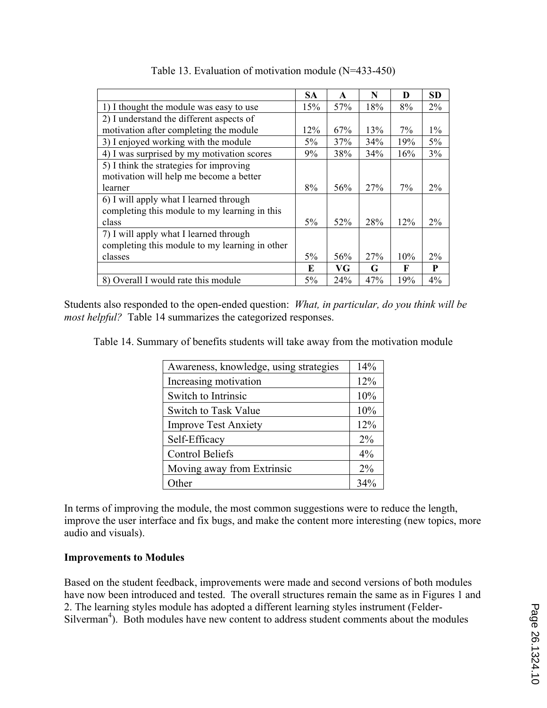|                                                | <b>SA</b> | $\mathbf{A}$ | N   | D     | <b>SD</b> |
|------------------------------------------------|-----------|--------------|-----|-------|-----------|
| 1) I thought the module was easy to use        | 15%       | 57%          | 18% | 8%    | 2%        |
| 2) I understand the different aspects of       |           |              |     |       |           |
| motivation after completing the module         | 12%       | 67%          | 13% | 7%    | $1\%$     |
| 3) I enjoyed working with the module           | $5\%$     | 37%          | 34% | 19%   | $5\%$     |
| 4) I was surprised by my motivation scores     | 9%        | 38%          | 34% | 16%   | 3%        |
| 5) I think the strategies for improving        |           |              |     |       |           |
| motivation will help me become a better        |           |              |     |       |           |
| learner                                        | 8%        | 56%          | 27% | $7\%$ | $2\%$     |
| 6) I will apply what I learned through         |           |              |     |       |           |
| completing this module to my learning in this  |           |              |     |       |           |
| class                                          | $5\%$     | 52%          | 28% | 12%   | $2\%$     |
| 7) I will apply what I learned through         |           |              |     |       |           |
| completing this module to my learning in other |           |              |     |       |           |
| classes                                        | $5\%$     | 56%          | 27% | 10%   | 2%        |
|                                                | E         | VG           | G   | F     | P         |
| 8) Overall I would rate this module            | $5\%$     | 24%          | 47% | 19%   | 4%        |

Table 13. Evaluation of motivation module (N=433-450)

Students also responded to the open-ended question: *What, in particular, do you think will be most helpful?* Table 14 summarizes the categorized responses.

Table 14. Summary of benefits students will take away from the motivation module

| Awareness, knowledge, using strategies | 14%   |
|----------------------------------------|-------|
| Increasing motivation                  | 12%   |
| Switch to Intrinsic                    | 10%   |
| Switch to Task Value                   | 10%   |
| <b>Improve Test Anxiety</b>            | 12%   |
| Self-Efficacy                          | $2\%$ |
| <b>Control Beliefs</b>                 | 4%    |
| Moving away from Extrinsic             | $2\%$ |
| Other                                  | 34%   |

In terms of improving the module, the most common suggestions were to reduce the length, improve the user interface and fix bugs, and make the content more interesting (new topics, more audio and visuals).

# **Improvements to Modules**

Based on the student feedback, improvements were made and second versions of both modules have now been introduced and tested. The overall structures remain the same as in Figures 1 and 2. The learning styles module has adopted a different learning styles instrument (Felder-Silverman<sup>4</sup>). Both modules have new content to address student comments about the modules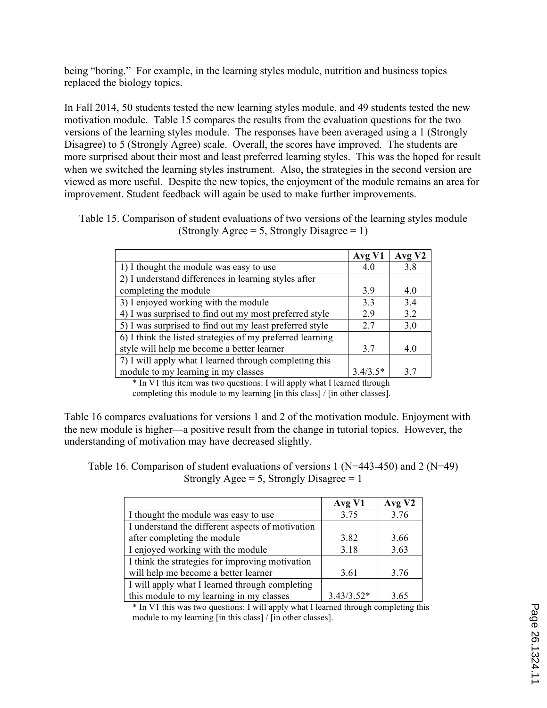being "boring." For example, in the learning styles module, nutrition and business topics replaced the biology topics.

In Fall 2014, 50 students tested the new learning styles module, and 49 students tested the new motivation module. Table 15 compares the results from the evaluation questions for the two versions of the learning styles module. The responses have been averaged using a 1 (Strongly Disagree) to 5 (Strongly Agree) scale. Overall, the scores have improved. The students are more surprised about their most and least preferred learning styles. This was the hoped for result when we switched the learning styles instrument. Also, the strategies in the second version are viewed as more useful. Despite the new topics, the enjoyment of the module remains an area for improvement. Student feedback will again be used to make further improvements.

Table 15. Comparison of student evaluations of two versions of the learning styles module (Strongly Agree = 5, Strongly Disagree = 1)

|                                                           | Avg V1     | Avg V <sub>2</sub> |
|-----------------------------------------------------------|------------|--------------------|
| 1) I thought the module was easy to use                   | 4.0        | 3.8                |
| 2) I understand differences in learning styles after      |            |                    |
| completing the module                                     | 3.9        | 4.0                |
| 3) I enjoyed working with the module                      | 3.3        | 3.4                |
| 4) I was surprised to find out my most preferred style    | 2.9        | 3.2                |
| 5) I was surprised to find out my least preferred style   | 2.7        | 3.0                |
| 6) I think the listed strategies of my preferred learning |            |                    |
| style will help me become a better learner                | 3.7        | 4.0                |
| 7) I will apply what I learned through completing this    |            |                    |
| module to my learning in my classes                       | $3.4/3.5*$ | 3.7                |

\* In V1 this item was two questions: I will apply what I learned through

completing this module to my learning [in this class] / [in other classes].

Table 16 compares evaluations for versions 1 and 2 of the motivation module. Enjoyment with the new module is higher—a positive result from the change in tutorial topics. However, the understanding of motivation may have decreased slightly.

Table 16. Comparison of student evaluations of versions 1 ( $N=443-450$ ) and 2 ( $N=49$ ) Strongly Agee = 5, Strongly Disagree =  $1$ 

|                                                  | Avg V1       | Avg V2 |
|--------------------------------------------------|--------------|--------|
| I thought the module was easy to use             | 3.75         | 3.76   |
| I understand the different aspects of motivation |              |        |
| after completing the module                      | 3.82         | 3.66   |
| I enjoyed working with the module                | 3.18         | 3.63   |
| I think the strategies for improving motivation  |              |        |
| will help me become a better learner             | 3.61         | 3.76   |
| I will apply what I learned through completing   |              |        |
| this module to my learning in my classes         | $3.43/3.52*$ | 3.65   |

\* In V1 this was two questions: I will apply what I learned through completing this module to my learning [in this class] / [in other classes].